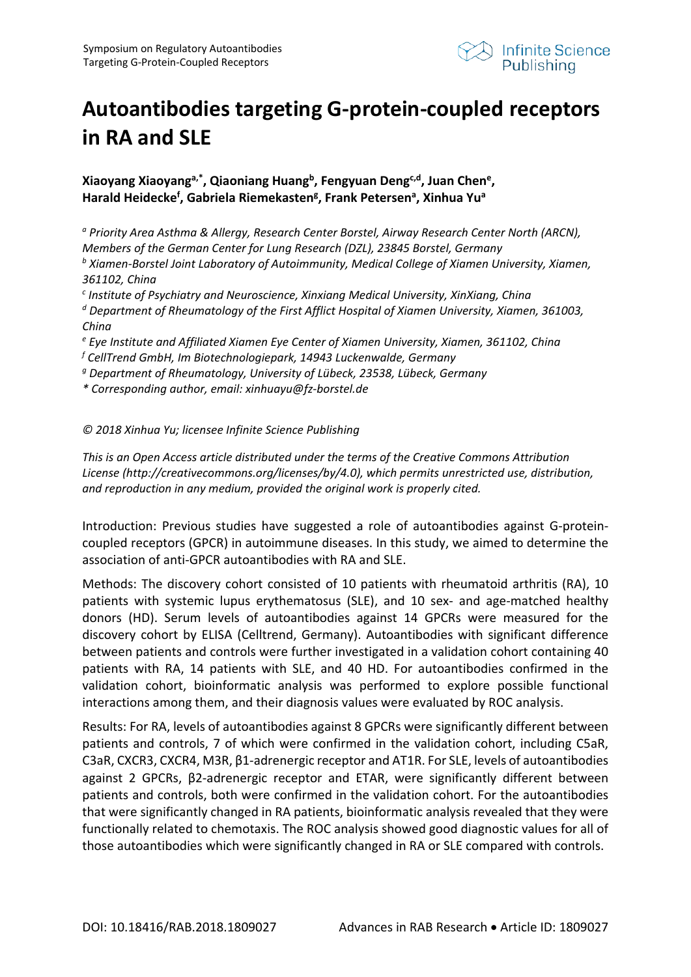

## **Autoantibodies targeting G-protein-coupled receptors in RA and SLE**

**Xiaoyang Xiaoyanga,\*, Qiaoniang Huangb, Fengyuan Dengc,d, Juan Chene , Harald Heideckef , Gabriela Riemekasteng , Frank Petersena , Xinhua Yua** 

*<sup>a</sup> Priority Area Asthma & Allergy, Research Center Borstel, Airway Research Center North (ARCN), Members of the German Center for Lung Research (DZL), 23845 Borstel, Germany b Xiamen-Borstel Joint Laboratory of Autoimmunity, Medical College of Xiamen University, Xiamen, 361102, China*

*<sup>c</sup> Institute of Psychiatry and Neuroscience, Xinxiang Medical University, XinXiang, China*

*<sup>d</sup> Department of Rheumatology of the First Afflict Hospital of Xiamen University, Xiamen, 361003, China* 

*<sup>e</sup> Eye Institute and Affiliated Xiamen Eye Center of Xiamen University, Xiamen, 361102, China*

*<sup>f</sup> CellTrend GmbH, Im Biotechnologiepark, 14943 Luckenwalde, Germany*

*g Department of Rheumatology, University of Lübeck, 23538, Lübeck, Germany*

*\* Corresponding author, email: xinhuayu@fz-borstel.de* 

## *© 2018 Xinhua Yu; licensee Infinite Science Publishing*

*This is an Open Access article distributed under the terms of the Creative Commons Attribution License (http://creativecommons.org/licenses/by/4.0), which permits unrestricted use, distribution, and reproduction in any medium, provided the original work is properly cited.*

Introduction: Previous studies have suggested a role of autoantibodies against G-proteincoupled receptors (GPCR) in autoimmune diseases. In this study, we aimed to determine the association of anti-GPCR autoantibodies with RA and SLE.

Methods: The discovery cohort consisted of 10 patients with rheumatoid arthritis (RA), 10 patients with systemic lupus erythematosus (SLE), and 10 sex- and age-matched healthy donors (HD). Serum levels of autoantibodies against 14 GPCRs were measured for the discovery cohort by ELISA (Celltrend, Germany). Autoantibodies with significant difference between patients and controls were further investigated in a validation cohort containing 40 patients with RA, 14 patients with SLE, and 40 HD. For autoantibodies confirmed in the validation cohort, bioinformatic analysis was performed to explore possible functional interactions among them, and their diagnosis values were evaluated by ROC analysis.

Results: For RA, levels of autoantibodies against 8 GPCRs were significantly different between patients and controls, 7 of which were confirmed in the validation cohort, including C5aR, C3aR, CXCR3, CXCR4, M3R, β1-adrenergic receptor and AT1R. For SLE, levels of autoantibodies against 2 GPCRs, β2-adrenergic receptor and ETAR, were significantly different between patients and controls, both were confirmed in the validation cohort. For the autoantibodies that were significantly changed in RA patients, bioinformatic analysis revealed that they were functionally related to chemotaxis. The ROC analysis showed good diagnostic values for all of those autoantibodies which were significantly changed in RA or SLE compared with controls.